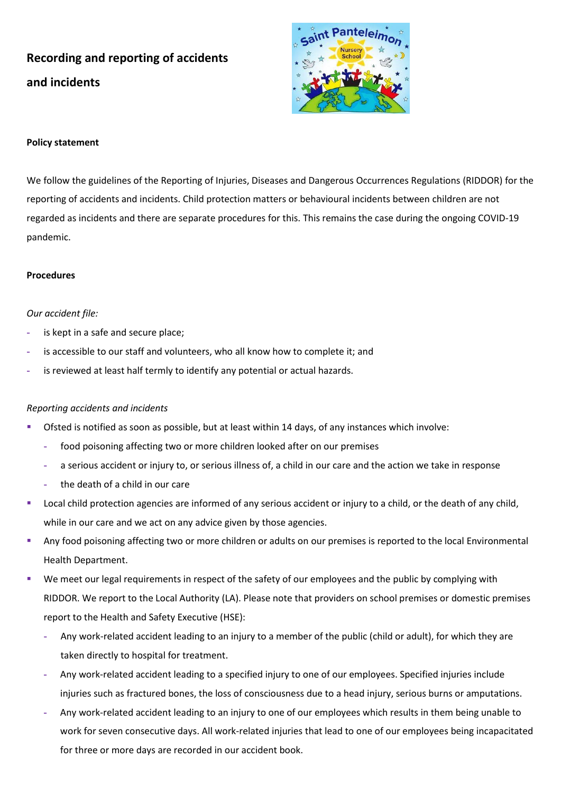# **Recording and reporting of accidents and incidents**



## **Policy statement**

We follow the guidelines of the Reporting of Injuries, Diseases and Dangerous Occurrences Regulations (RIDDOR) for the reporting of accidents and incidents. Child protection matters or behavioural incidents between children are not regarded as incidents and there are separate procedures for this. This remains the case during the ongoing COVID-19 pandemic.

### **Procedures**

### *Our accident file:*

- **-** is kept in a safe and secure place;
- **-** is accessible to our staff and volunteers, who all know how to complete it; and
- **-** is reviewed at least half termly to identify any potential or actual hazards.

# *Reporting accidents and incidents*

- Ofsted is notified as soon as possible, but at least within 14 days, of any instances which involve:
	- **-** food poisoning affecting two or more children looked after on our premises
	- **-** a serious accident or injury to, or serious illness of, a child in our care and the action we take in response
	- **-** the death of a child in our care
- Local child protection agencies are informed of any serious accident or injury to a child, or the death of any child, while in our care and we act on any advice given by those agencies.
- Any food poisoning affecting two or more children or adults on our premises is reported to the local Environmental Health Department.
- We meet our legal requirements in respect of the safety of our employees and the public by complying with RIDDOR. We report to the Local Authority (LA). Please note that providers on school premises or domestic premises report to the Health and Safety Executive (HSE):
	- **-** Any work-related accident leading to an injury to a member of the public (child or adult), for which they are taken directly to hospital for treatment.
	- **-** Any work-related accident leading to a specified injury to one of our employees. Specified injuries include injuries such as fractured bones, the loss of consciousness due to a head injury, serious burns or amputations.
	- **-** Any work-related accident leading to an injury to one of our employees which results in them being unable to work for seven consecutive days. All work-related injuries that lead to one of our employees being incapacitated for three or more days are recorded in our accident book.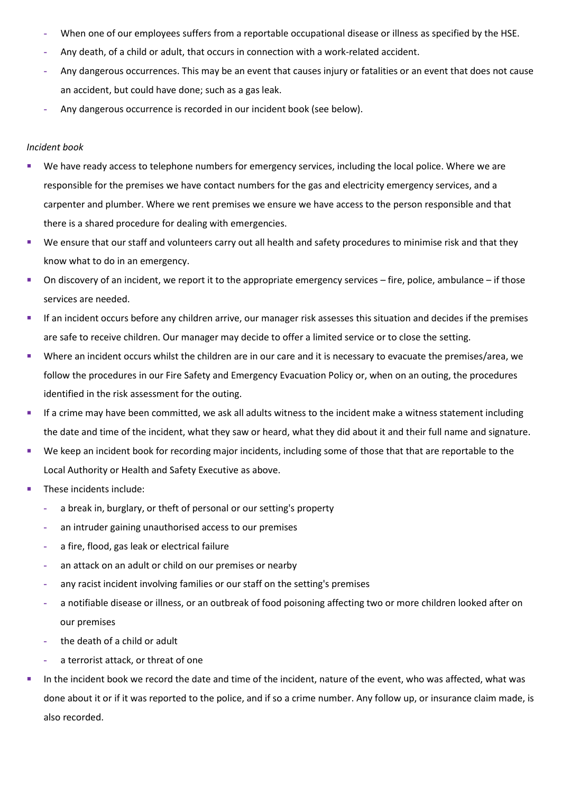- **-** When one of our employees suffers from a reportable occupational disease or illness as specified by the HSE.
- **-** Any death, of a child or adult, that occurs in connection with a work-related accident.
- **-** Any dangerous occurrences. This may be an event that causes injury or fatalities or an event that does not cause an accident, but could have done; such as a gas leak.
- **-** Any dangerous occurrence is recorded in our incident book (see below).

#### *Incident book*

- We have ready access to telephone numbers for emergency services, including the local police. Where we are responsible for the premises we have contact numbers for the gas and electricity emergency services, and a carpenter and plumber. Where we rent premises we ensure we have access to the person responsible and that there is a shared procedure for dealing with emergencies.
- We ensure that our staff and volunteers carry out all health and safety procedures to minimise risk and that they know what to do in an emergency.
- On discovery of an incident, we report it to the appropriate emergency services fire, police, ambulance if those services are needed.
- **■** If an incident occurs before any children arrive, our manager risk assesses this situation and decides if the premises are safe to receive children. Our manager may decide to offer a limited service or to close the setting.
- Where an incident occurs whilst the children are in our care and it is necessary to evacuate the premises/area, we follow the procedures in our Fire Safety and Emergency Evacuation Policy or, when on an outing, the procedures identified in the risk assessment for the outing.
- **E** If a crime may have been committed, we ask all adults witness to the incident make a witness statement including the date and time of the incident, what they saw or heard, what they did about it and their full name and signature.
- We keep an incident book for recording major incidents, including some of those that that are reportable to the Local Authority or Health and Safety Executive as above.
- These incidents include:
	- **-** a break in, burglary, or theft of personal or our setting's property
	- **-** an intruder gaining unauthorised access to our premises
	- **-** a fire, flood, gas leak or electrical failure
	- **-** an attack on an adult or child on our premises or nearby
	- **-** any racist incident involving families or our staff on the setting's premises
	- **-** a notifiable disease or illness, or an outbreak of food poisoning affecting two or more children looked after on our premises
	- **-** the death of a child or adult
	- **-** a terrorist attack, or threat of one
- In the incident book we record the date and time of the incident, nature of the event, who was affected, what was done about it or if it was reported to the police, and if so a crime number. Any follow up, or insurance claim made, is also recorded.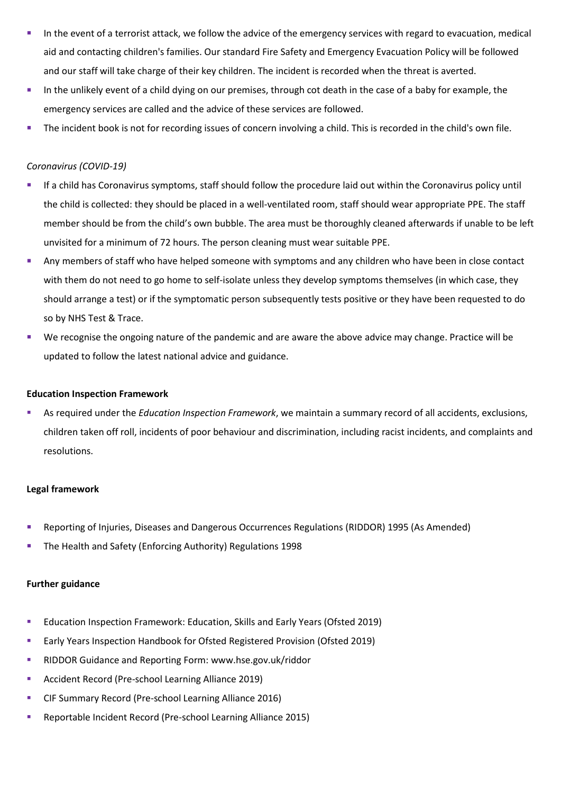- In the event of a terrorist attack, we follow the advice of the emergency services with regard to evacuation, medical aid and contacting children's families. Our standard Fire Safety and Emergency Evacuation Policy will be followed and our staff will take charge of their key children. The incident is recorded when the threat is averted.
- **.** In the unlikely event of a child dying on our premises, through cot death in the case of a baby for example, the emergency services are called and the advice of these services are followed.
- The incident book is not for recording issues of concern involving a child. This is recorded in the child's own file.

#### *Coronavirus (COVID-19)*

- If a child has Coronavirus symptoms, staff should follow the procedure laid out within the Coronavirus policy until the child is collected: they should be placed in a well-ventilated room, staff should wear appropriate PPE. The staff member should be from the child's own bubble. The area must be thoroughly cleaned afterwards if unable to be left unvisited for a minimum of 72 hours. The person cleaning must wear suitable PPE.
- Any members of staff who have helped someone with symptoms and any children who have been in close contact with them do not need to go home to self-isolate unless they develop symptoms themselves (in which case, they should arrange a test) or if the symptomatic person subsequently tests positive or they have been requested to do so by NHS Test & Trace.
- We recognise the ongoing nature of the pandemic and are aware the above advice may change. Practice will be updated to follow the latest national advice and guidance.

#### **Education Inspection Framework**

As required under the *Education Inspection Framework*, we maintain a summary record of all accidents, exclusions, children taken off roll, incidents of poor behaviour and discrimination, including racist incidents, and complaints and resolutions.

#### **Legal framework**

- Reporting of Injuries, Diseases and Dangerous Occurrences Regulations (RIDDOR) 1995 (As Amended)
- The Health and Safety (Enforcing Authority) Regulations 1998

#### **Further guidance**

- Education Inspection Framework: Education, Skills and Early Years (Ofsted 2019)
- Early Years Inspection Handbook for Ofsted Registered Provision (Ofsted 2019)
- RIDDOR Guidance and Reporting Form: www.hse.gov.uk/riddor
- Accident Record (Pre-school Learning Alliance 2019)
- CIF Summary Record (Pre-school Learning Alliance 2016)
- Reportable Incident Record (Pre-school Learning Alliance 2015)